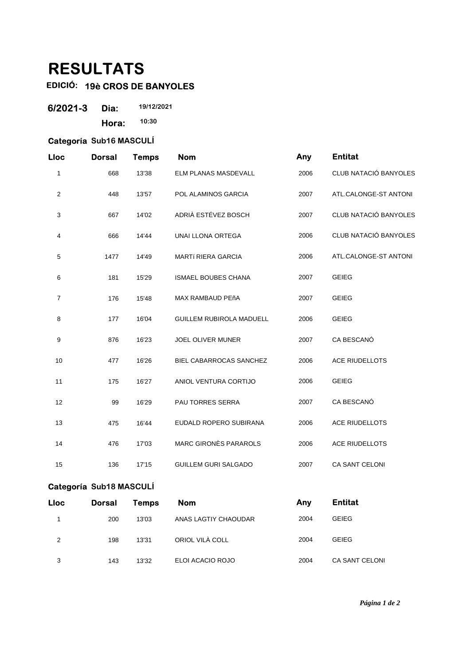## **RESULTATS**

## **EDICIÓ: 19è CROS DE BANYOLES**

| 6/2021-3 | Dia:  | 19/12/2021 |
|----------|-------|------------|
|          | Hora: | 10:30      |

## **Categoría Sub16 MASCULÍ**

| Lloc           | <b>Dorsal</b> | <b>Temps</b> | <b>Nom</b>                   | Any  | <b>Entitat</b>        |
|----------------|---------------|--------------|------------------------------|------|-----------------------|
| 1              | 668           | 13'38        | ELM PLANAS MASDEVALL         | 2006 | CLUB NATACIÓ BANYOLES |
| 2              | 448           | 13'57        | POL ALAMINOS GARCIA          | 2007 | ATL.CALONGE-ST ANTONI |
| 3              | 667           | 14'02        | ADRIÀ ESTÉVEZ BOSCH          | 2007 | CLUB NATACIÓ BANYOLES |
| 4              | 666           | 14'44        | <b>UNAI LLONA ORTEGA</b>     | 2006 | CLUB NATACIÓ BANYOLES |
| 5              | 1477          | 14'49        | MARTÍ RIERA GARCIA           | 2006 | ATL.CALONGE-ST ANTONI |
| 6              | 181           | 15'29        | ISMAEL BOUBES CHANA          | 2007 | <b>GEIEG</b>          |
| $\overline{7}$ | 176           | 15'48        | MAX RAMBAUD PEñA             | 2007 | <b>GEIEG</b>          |
| 8              | 177           | 16'04        | GUILLEM RUBIROLA MADUELL     | 2006 | <b>GEIEG</b>          |
| 9              | 876           | 16'23        | <b>JOEL OLIVER MUNER</b>     | 2007 | CA BESCANÓ            |
| 10             | 477           | 16'26        | BIEL CABARROCAS SANCHEZ      | 2006 | <b>ACE RIUDELLOTS</b> |
| 11             | 175           | 16'27        | ANIOL VENTURA CORTIJO        | 2006 | <b>GEIEG</b>          |
| 12             | 99            | 16'29        | PAU TORRES SERRA             | 2007 | CA BESCANÓ            |
| 13             | 475           | 16'44        | EUDALD ROPERO SUBIRANA       | 2006 | <b>ACE RIUDELLOTS</b> |
| 14             | 476           | 17'03        | <b>MARC GIRONÈS PARAROLS</b> | 2006 | <b>ACE RIUDELLOTS</b> |
| 15             | 136           | 17'15        | <b>GUILLEM GURI SALGADO</b>  | 2007 | CA SANT CELONI        |
|                |               |              |                              |      |                       |

## **Categoría Sub18 MASCULÍ**

| <b>Lloc</b> | <b>Dorsal</b> | <b>Temps</b> | <b>Nom</b>           | Any  | <b>Entitat</b>        |  |
|-------------|---------------|--------------|----------------------|------|-----------------------|--|
|             | 200           | 13'03        | ANAS LAGTIY CHAOUDAR | 2004 | <b>GEIEG</b>          |  |
| 2           | 198           | 13'31        | ORIOL VILA COLL      | 2004 | <b>GEIEG</b>          |  |
| 3           | 143           | 13'32        | ELOI ACACIO ROJO     | 2004 | <b>CA SANT CELONI</b> |  |